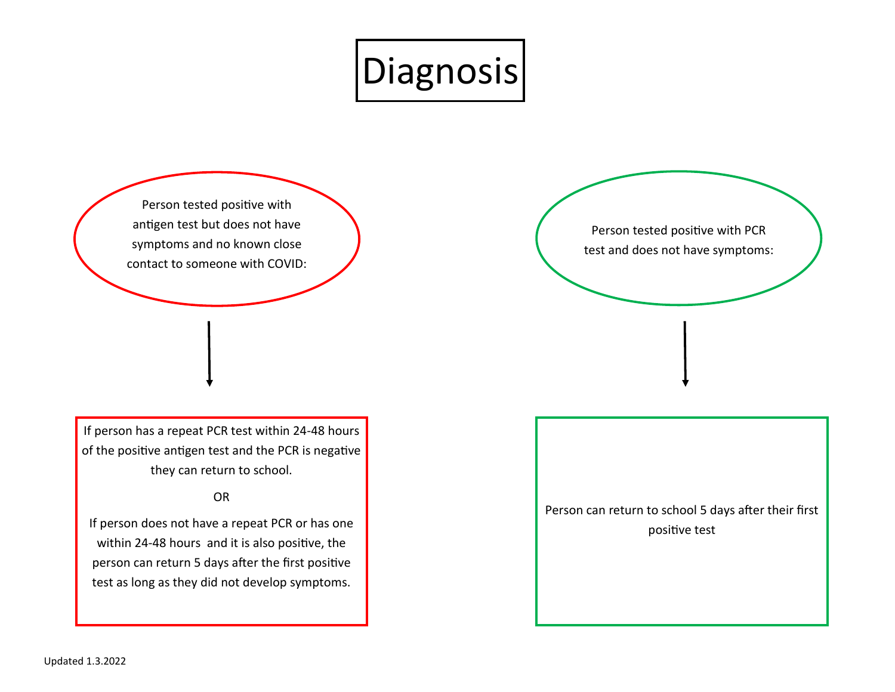

Person tested positive with antigen test but does not have symptoms and no known close contact to someone with COVID:

If person has a repeat PCR test within 24-48 hours of the positive antigen test and the PCR is negative they can return to school.

## OR

If person does not have a repeat PCR or has one within 24-48 hours and it is also positive, the person can return 5 days after the first positive test as long as they did not develop symptoms.

Person tested positive with PCR test and does not have symptoms:

Person can return to school 5 days after their first positive test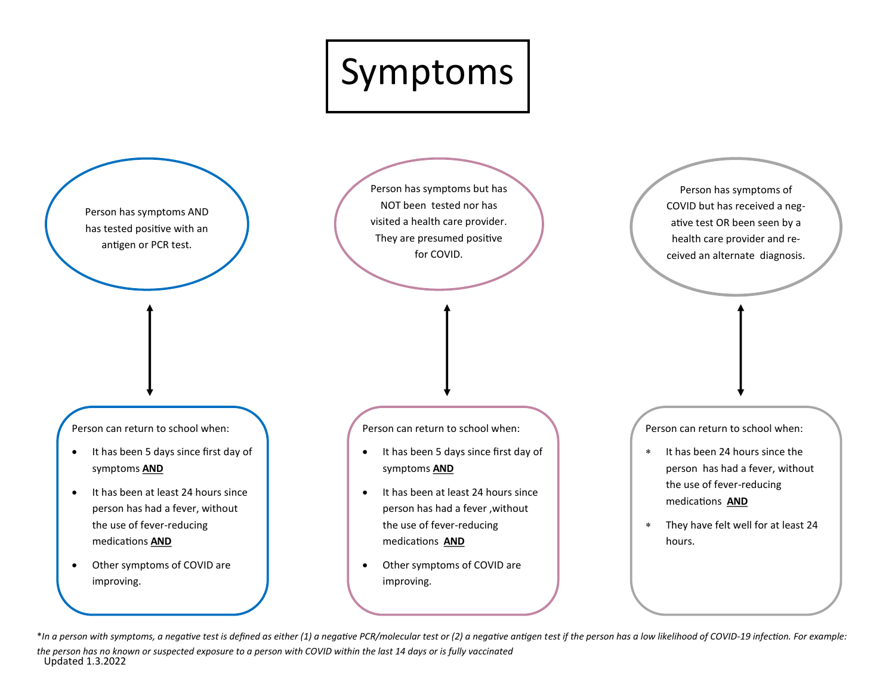

Person has symptoms AND has tested positive with an antigen or PCR test.

Person has symptoms but has NOT been tested nor has visited a health care provider. They are presumed positive for COVID.

Person can return to school when:

- It has been 5 days since first day of symptoms **AND**
- It has been at least 24 hours since person has had a fever, without the use of fever-reducing medications **AND**
- Other symptoms of COVID are improving.

Person can return to school when:

- It has been 5 days since first day of symptoms **AND**
- It has been at least 24 hours since person has had a fever ,without the use of fever-reducing medications **AND**
- Other symptoms of COVID are improving.

Person can return to school when:

Person has symptoms of COVID but has received a negative test OR been seen by a health care provider and received an alternate diagnosis.

- \* It has been 24 hours since the person has had a fever, without the use of fever-reducing medications **AND**
- They have felt well for at least 24 hours.

Updated 1.3.2022 \*In a person with symptoms, a negative test is defined as either (1) a negative PCR/molecular test or (2) a negative antigen test if the person has a low likelihood of COVID-19 infection. For example: *the person has no known or suspected exposure to a person with COVID within the last 14 days or is fully vaccinated*